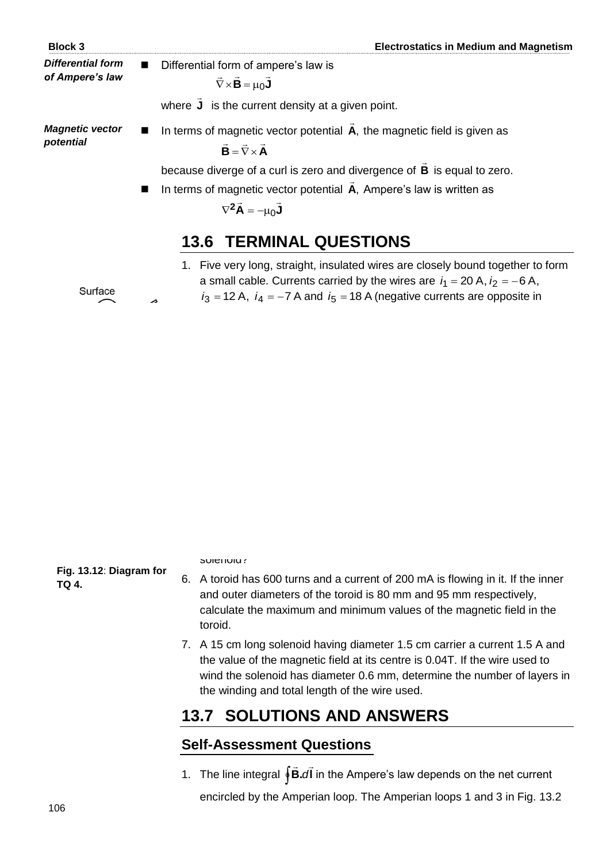*Differential form of Ampere's law*

**Block 3 Electrostatics in Medium and Magnetism**

 Differential form of ampere's law is  $\nabla \times \mathbf{B} = \mu_0 \mathbf{J}$  $\overline{a}$   $\overline{a}$   $\overline{a}$   $\overline{a}$  $\nabla \times \mathbf{B} = \mu_0$ 

where **J**  $\overline{a}$ is the current density at a given point.

*Magnetic vector potential*

■ In terms of magnetic vector potential **A**, the magnetic field is given as  $\mathbf{B} = \nabla \times \mathbf{A}$  $\frac{1}{2}$  = 7  $=\nabla \times$ 

because diverge of a curl is zero and divergence of **B**  $\overline{a}$ is equal to zero.

 $\overline{a}$ 

■ In terms of magnetic vector potential **A**,  $\overline{a}$ Ampere's law is written as

$$
\nabla^2 \vec{A} = -\mu_0 \vec{J}
$$

## **13.6 TERMINAL QUESTIONS**

- 1. Five very long, straight, insulated wires are closely bound together to form a small cable. Currents carried by the wires are  $i_1 = 20$  A,  $i_2 = -6$  A,  $i_3 = 12$  A,  $i_4 = -7$  A and  $i_5 = 18$  A (negative currents are opposite in direction to the positive). Calculate the magnitude of **B** at a distance of 10 cm from the cable.
- 2. Consider the surface bounded by the closed path shown in Fig. 13.11 with the value of *i* equal to 15 A. What is the net current passing through the surface? Calculate the value of the line integral of **B** for this closed path.
- 3. A long, straight wire of diameter 4 mm carries a uniformly distributed 10 A current. At what distance from the axis of the wire the magnitude of **B** will be maximum? Justify your answer.
- 4. A long, hollow conducting cylinder carries a current *i* which is uniformly distributed over the cross-section as shown in Fig. 13.12. Determine the value of magnetic field at at point a distance *r* from the axis of the cylinder for i)  $r \le a$ , ii)  $a < r \le b$ , and iii)  $b \le r$ .
- 5. A long solenoid with 900 turns per meter has a 2.6 A current. i) What is the magnitude of the magnetic field at the centre of the solenoid? ii) If the length of the solenoid is 300 mm, how many turns of wire are on the solenoid?
- 6. A toroid has 600 turns and a current of 200 mA is flowing in it. If the inner and outer diameters of the toroid is 80 mm and 95 mm respectively, calculate the maximum and minimum values of the magnetic field in the toroid.
- 7. A 15 cm long solenoid having diameter 1.5 cm carrier a current 1.5 A and the value of the magnetic field at its centre is 0.04T. If the wire used to wind the solenoid has diameter 0.6 mm, determine the number of layers in the winding and total length of the wire used.

## **13.7 SOLUTIONS AND ANSWERS**

## **Self-Assessment Questions**

1. The line integral **↓B.**dl  $\rightarrow$   $\rightarrow$ ∮**B.∂I** in the Ampere's law depends on the net current encircled by the Amperian loop. The Amperian loops 1 and 3 in Fig. 13.2



**Fig. 13.11**: **Diagram for TQ 2.**



**Fig. 13.12**: **Diagram for TQ 4.**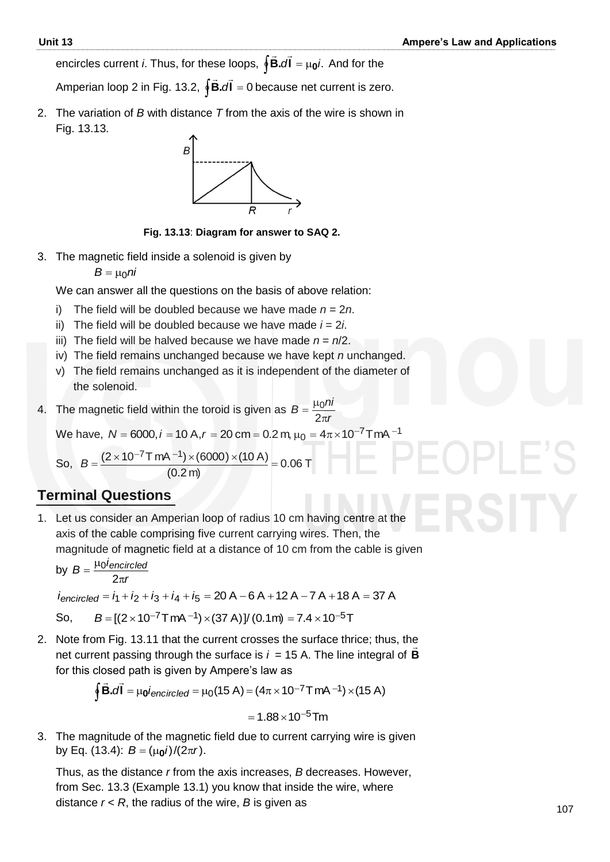**encircles current** *i***. Thus, for these loops, ∮B.dľ = μ<sub>0</sub>***i***.** ...........<br>⊇ → And for the

Amperian loop 2 in Fig. 13.2, <sup>0</sup> **l.B**  $\overline{z}$   $\overline{z}$ d **d** = 0 because net current is zero.

2. The variation of *B* with distance *T* from the axis of the wire is shown in Fig. 13.13.



**Fig. 13.13**: **Diagram for answer to SAQ 2.**

3. The magnetic field inside a solenoid is given by

 $B = \mu_0 n i$ 

We can answer all the questions on the basis of above relation:

- i) The field will be doubled because we have made  $n = 2n$ .
- ii) The field will be doubled because we have made  $i = 2i$ .
- iii) The field will be halved because we have made  $n = n/2$ .
- iv) The field remains unchanged because we have kept *n* unchanged.
- v) The field remains unchanged as it is independent of the diameter of the solenoid.
- 4. The magnetic field within the toroid is given as *r*  $B = \frac{\mu_0 n_i}{2}$  $\pi$  $=\frac{\mu}{2}$ 2 0

We have,  $N = 6000$ ,  $i = 10$  A, $r = 20$  cm  $= 0.2$  m,  $\mu_0 = 4\pi \times 10^{-7}$  TmA  $^{-1}$ 

So,  $B = \frac{(2 \times 10^{-11} \text{ mV} \cdot 7)(00007 \times (10^{11} \text{ m})}{(0.8 \times 10^{-11} \text{ m})} = 0.06 \text{ T}$  $(0.2 m)$  $=\frac{(2\times10^{-7} \text{ T mA}^{-1})\times(6000)\times(10 \text{ A})}{(2.8 \text{ A})}$  $-7$ TmA $-$ *B*

## **Terminal Questions**

1. Let us consider an Amperian loop of radius 10 cm having centre at the axis of the cable comprising five current carrying wires. Then, the magnitude of magnetic field at a distance of 10 cm from the cable is given

by *r*  $B = \frac{\mu_0 i_{encircled}}{2}$  $\pi$  $=\frac{\mu}{\sqrt{2}}$ 2 0

$$
i_{encircled} = i_1 + i_2 + i_3 + i_4 + i_5 = 20 A - 6 A + 12 A - 7 A + 18 A = 37 A
$$

So,  $B = [(2 \times 10^{-7} \text{ T mA}^{-1}) \times (37 \text{ A})]/(0.1 \text{ m}) = 7.4 \times 10^{-5} \text{ T}$ 

2. Note from Fig. 13.11 that the current crosses the surface thrice; thus, the net current passing through the surface is  $i = 15$  A. The line integral of **B** for this closed path is given by Ampere's law as

$$
\oint \vec{B} \cdot d\vec{l} = \mu_0 i_{encircled} = \mu_0 (15 \text{ A}) = (4\pi \times 10^{-7} \text{ T m} \text{A}^{-1}) \times (15 \text{ A})
$$

$$
=1.88\times10^{-5}\,\text{Im}
$$

3. The magnitude of the magnetic field due to current carrying wire is given by Eq. (13.4): *B* = (μ<sub>0</sub>*i*)/(2π*r*).

Thus, as the distance *r* from the axis increases, *B* decreases. However, from Sec. 13.3 (Example 13.1) you know that inside the wire, where distance  $r < R$ , the radius of the wire,  $B$  is given as